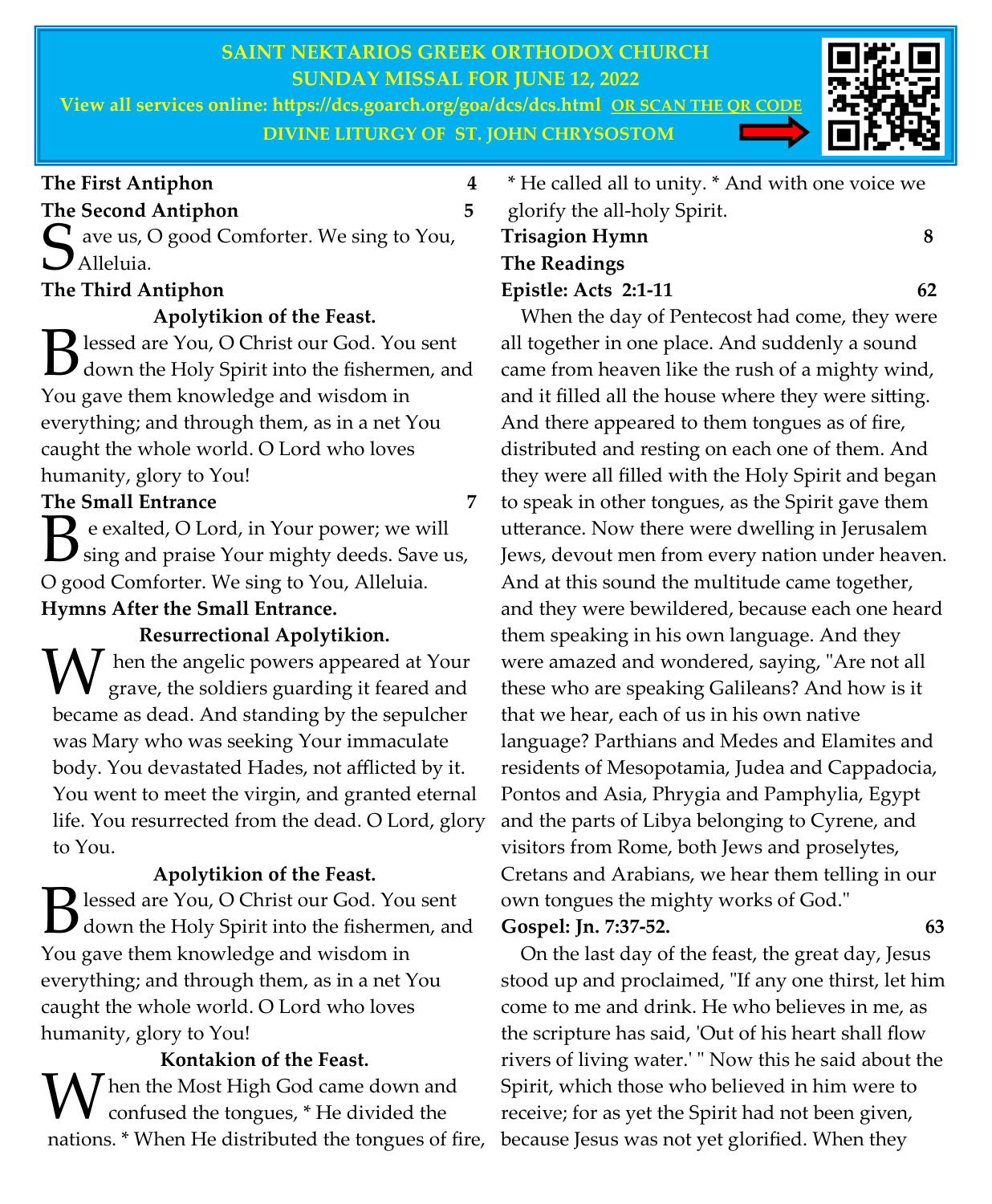# **SAINT NEKTARIOS GREEK ORTHODOX CHURCH SUNDAY MISSAL FOR JUNE 12, 2022**

**View all services online: https://dcs.goarch.org/goa/dcs/dcs.html OR SCAN THE QR CODE DIVINE LITURGY OF ST. JOHN CHRYSOSTOM**



## **The First Antiphon 4**

## **The Second Antiphon 5**

S ave us, O good Comforter. We sing to You,  $\boldsymbol{J}$  Alleluia.

## **The Third Antiphon**

**Apolytikion of the Feast.** 

B lessed are You, O Christ our God. You sent<br>down the Holy Spirit into the fishermen, an down the Holy Spirit into the fishermen, and You gave them knowledge and wisdom in everything; and through them, as in a net You caught the whole world. O Lord who loves humanity, glory to You!

## **The Small Entrance 7**

 $\mathbf{B}$  e exalted, O Lord, in Your power; we will<br>  $\mathbf{B}$  sing and praise Your mighty deeds. Save u sing and praise Your mighty deeds. Save us, O good Comforter. We sing to You, Alleluia. **Hymns After the Small Entrance.** 

**Resurrectional Apolytikion.**   $\overline{I}$  hen the angelic powers appeared at Your grave, the soldiers guarding it feared and became as dead. And standing by the sepulcher was Mary who was seeking Your immaculate body. You devastated Hades, not afflicted by it. You went to meet the virgin, and granted eternal life. You resurrected from the dead. O Lord, glory to You.

# **Apolytikion of the Feast.**  B lessed are You, O Christ our God. You sent<br>down the Holy Spirit into the fishermen, an down the Holy Spirit into the fishermen, and You gave them knowledge and wisdom in everything; and through them, as in a net You caught the whole world. O Lord who loves humanity, glory to You!

# **Kontakion of the Feast.**

 $\int$  hen the Most High God came down and confused the tongues, \* He divided the nations. \* When He distributed the tongues of fire,

\* He called all to unity. \* And with one voice we glorify the all-holy Spirit.

# **Trisagion Hymn 8 The Readings Epistle: Acts 2:1-11 62**

 When the day of Pentecost had come, they were all together in one place. And suddenly a sound came from heaven like the rush of a mighty wind, and it filled all the house where they were sitting. And there appeared to them tongues as of fire, distributed and resting on each one of them. And they were all filled with the Holy Spirit and began to speak in other tongues, as the Spirit gave them utterance. Now there were dwelling in Jerusalem Jews, devout men from every nation under heaven. And at this sound the multitude came together, and they were bewildered, because each one heard them speaking in his own language. And they were amazed and wondered, saying, "Are not all these who are speaking Galileans? And how is it that we hear, each of us in his own native language? Parthians and Medes and Elamites and residents of Mesopotamia, Judea and Cappadocia, Pontos and Asia, Phrygia and Pamphylia, Egypt and the parts of Libya belonging to Cyrene, and visitors from Rome, both Jews and proselytes, Cretans and Arabians, we hear them telling in our own tongues the mighty works of God." **Gospel: Jn. 7:37-52. 63** 

 On the last day of the feast, the great day, Jesus stood up and proclaimed, "If any one thirst, let him come to me and drink. He who believes in me, as the scripture has said, 'Out of his heart shall flow rivers of living water.' " Now this he said about the Spirit, which those who believed in him were to receive; for as yet the Spirit had not been given, because Jesus was not yet glorified. When they